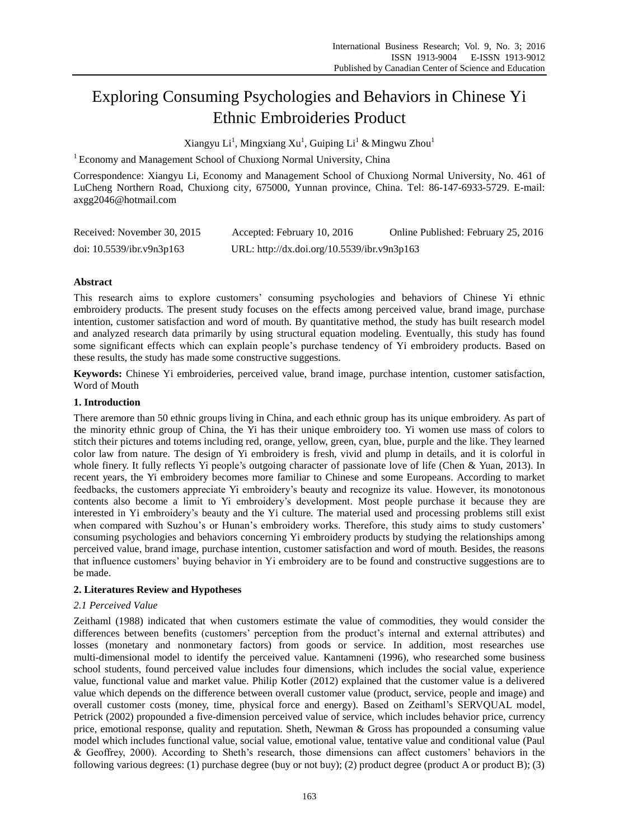# Exploring Consuming Psychologies and Behaviors in Chinese Yi Ethnic Embroideries Product

Xiangyu Li<sup>1</sup>, Mingxiang Xu<sup>1</sup>, Guiping Li<sup>1</sup> & Mingwu Zhou<sup>1</sup>

<sup>1</sup> Economy and Management School of Chuxiong Normal University, China

Correspondence: Xiangyu Li, Economy and Management School of Chuxiong Normal University, No. 461 of LuCheng Northern Road, Chuxiong city, 675000, Yunnan province, China. Tel: 86-147-6933-5729. E-mail: axgg2046@hotmail.com

| Received: November 30, 2015 | Accepted: February 10, 2016                 | Online Published: February 25, 2016 |
|-----------------------------|---------------------------------------------|-------------------------------------|
| doi: 10.5539/ibr.v9n3p163   | URL: http://dx.doi.org/10.5539/ibr.v9n3p163 |                                     |

# **Abstract**

This research aims to explore customers' consuming psychologies and behaviors of Chinese Yi ethnic embroidery products. The present study focuses on the effects among perceived value, brand image, purchase intention, customer satisfaction and word of mouth. By quantitative method, the study has built research model and analyzed research data primarily by using structural equation modeling. Eventually, this study has found some significant effects which can explain people's purchase tendency of Yi embroidery products. Based on these results, the study has made some constructive suggestions.

**Keywords:** Chinese Yi embroideries, perceived value, brand image, purchase intention, customer satisfaction, Word of Mouth

## **1. Introduction**

There aremore than 50 ethnic groups living in China, and each ethnic group has its unique embroidery. As part of the minority ethnic group of China, the Yi has their unique embroidery too. Yi women use mass of colors to stitch their pictures and totems including red, orange, yellow, green, cyan, blue, purple and the like. They learned color law from nature. The design of Yi embroidery is fresh, vivid and plump in details, and it is colorful in whole finery. It fully reflects Yi people's outgoing character of passionate love of life (Chen & Yuan, 2013). In recent years, the Yi embroidery becomes more familiar to Chinese and some Europeans. According to market feedbacks, the customers appreciate Yi embroidery's beauty and recognize its value. However, its monotonous contents also become a limit to Yi embroidery's development. Most people purchase it because they are interested in Yi embroidery's beauty and the Yi culture. The material used and processing problems still exist when compared with Suzhou's or Hunan's embroidery works. Therefore, this study aims to study customers' consuming psychologies and behaviors concerning Yi embroidery products by studying the relationships among perceived value, brand image, purchase intention, customer satisfaction and word of mouth. Besides, the reasons that influence customers' buying behavior in Yi embroidery are to be found and constructive suggestions are to be made.

# **2. Literatures Review and Hypotheses**

## *2.1 Perceived Value*

Zeithaml (1988) indicated that when customers estimate the value of commodities, they would consider the differences between benefits (customers' perception from the product's internal and external attributes) and losses (monetary and nonmonetary factors) from goods or service. In addition, most researches use multi-dimensional model to identify the perceived value. Kantamneni (1996), who researched some business school students, found perceived value includes four dimensions, which includes the social value, experience value, functional value and market value. Philip Kotler (2012) explained that the customer value is a delivered value which depends on the difference between overall customer value (product, service, people and image) and overall customer costs (money, time, physical force and energy). Based on Zeithaml's SERVQUAL model, Petrick (2002) propounded a five-dimension perceived value of service, which includes behavior price, currency price, emotional response, quality and reputation. Sheth, Newman & Gross has propounded a consuming value model which includes functional value, social value, emotional value, tentative value and conditional value (Paul & Geoffrey, 2000). According to Sheth's research, those dimensions can affect customers' behaviors in the following various degrees: (1) purchase degree (buy or not buy); (2) product degree (product A or product B); (3)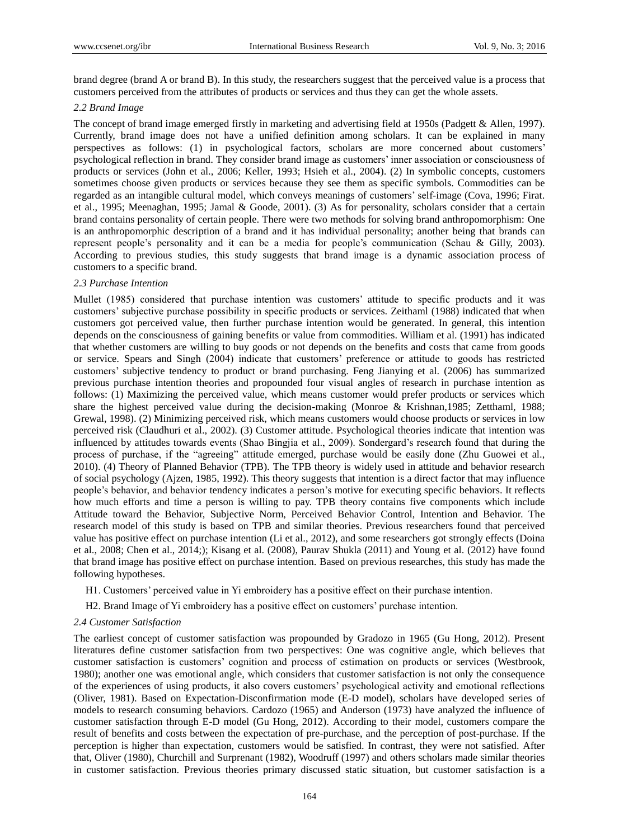brand degree (brand A or brand B). In this study, the researchers suggest that the perceived value is a process that customers perceived from the attributes of products or services and thus they can get the whole assets.

#### *2.2 Brand Image*

The concept of brand image emerged firstly in marketing and advertising field at 1950s (Padgett & Allen, 1997). Currently, brand image does not have a unified definition among scholars. It can be explained in many perspectives as follows: (1) in psychological factors, scholars are more concerned about customers' psychological reflection in brand. They consider brand image as customers' inner association or consciousness of products or services (John et al., 2006; Keller, 1993; Hsieh et al., 2004). (2) In symbolic concepts, customers sometimes choose given products or services because they see them as specific symbols. Commodities can be regarded as an intangible cultural model, which conveys meanings of customers' self-image (Cova, 1996; Firat. et al., 1995; Meenaghan, 1995; Jamal & Goode, 2001). (3) As for personality, scholars consider that a certain brand contains personality of certain people. There were two methods for solving brand anthropomorphism: One is an anthropomorphic description of a brand and it has individual personality; another being that brands can represent people's personality and it can be a media for people's communication (Schau & Gilly, 2003). According to previous studies, this study suggests that brand image is a dynamic association process of customers to a specific brand.

#### *2.3 Purchase Intention*

Mullet (1985) considered that purchase intention was customers' attitude to specific products and it was customers' subjective purchase possibility in specific products or services. Zeithaml (1988) indicated that when customers got perceived value, then further purchase intention would be generated. In general, this intention depends on the consciousness of gaining benefits or value from commodities. William et al. (1991) has indicated that whether customers are willing to buy goods or not depends on the benefits and costs that came from goods or service. Spears and Singh (2004) indicate that customers' preference or attitude to goods has restricted customers' subjective tendency to product or brand purchasing. Feng Jianying et al. (2006) has summarized previous purchase intention theories and propounded four visual angles of research in purchase intention as follows: (1) Maximizing the perceived value, which means customer would prefer products or services which share the highest perceived value during the decision-making (Monroe & Krishnan,1985; Zetthaml, 1988; Grewal, 1998). (2) Minimizing perceived risk, which means customers would choose products or services in low perceived risk (Claudhuri et al., 2002). (3) Customer attitude. Psychological theories indicate that intention was influenced by attitudes towards events (Shao Bingjia et al., 2009). Sondergard's research found that during the process of purchase, if the "agreeing" attitude emerged, purchase would be easily done (Zhu Guowei et al., 2010). (4) Theory of Planned Behavior (TPB). The TPB theory is widely used in attitude and behavior research of social psychology (Ajzen, 1985, 1992). This theory suggests that intention is a direct factor that may influence people's behavior, and behavior tendency indicates a person's motive for executing specific behaviors. It reflects how much efforts and time a person is willing to pay. TPB theory contains five components which include Attitude toward the Behavior, Subjective Norm, Perceived Behavior Control, Intention and Behavior. The research model of this study is based on TPB and similar theories. Previous researchers found that perceived value has positive effect on purchase intention (Li et al., 2012), and some researchers got strongly effects (Doina et al., 2008; Chen et al., 2014;); Kisang et al. (2008), Paurav Shukla (2011) and Young et al. (2012) have found that brand image has positive effect on purchase intention. Based on previous researches, this study has made the following hypotheses.

- H1. Customers' perceived value in Yi embroidery has a positive effect on their purchase intention.
- H2. Brand Image of Yi embroidery has a positive effect on customers' purchase intention.

#### *2.4 Customer Satisfaction*

The earliest concept of customer satisfaction was propounded by Gradozo in 1965 (Gu Hong, 2012). Present literatures define customer satisfaction from two perspectives: One was cognitive angle, which believes that customer satisfaction is customers' cognition and process of estimation on products or services (Westbrook, 1980); another one was emotional angle, which considers that customer satisfaction is not only the consequence of the experiences of using products, it also covers customers' psychological activity and emotional reflections (Oliver, 1981). Based on Expectation-Disconfirmation mode (E-D model), scholars have developed series of models to research consuming behaviors. Cardozo (1965) and Anderson (1973) have analyzed the influence of customer satisfaction through E-D model (Gu Hong, 2012). According to their model, customers compare the result of benefits and costs between the expectation of pre-purchase, and the perception of post-purchase. If the perception is higher than expectation, customers would be satisfied. In contrast, they were not satisfied. After that, Oliver (1980), Churchill and Surprenant (1982), Woodruff (1997) and others scholars made similar theories in customer satisfaction. Previous theories primary discussed static situation, but customer satisfaction is a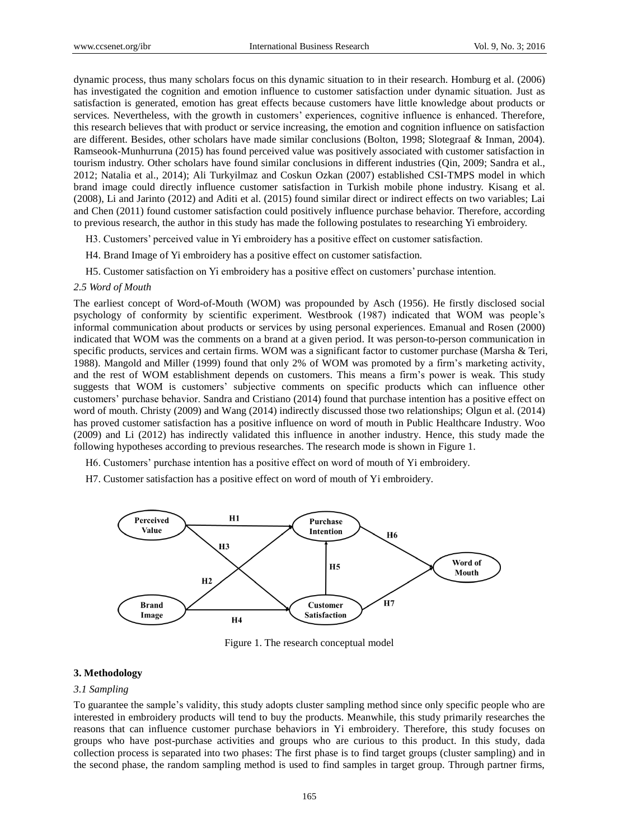dynamic process, thus many scholars focus on this dynamic situation to in their research. Homburg et al. (2006) has investigated the cognition and emotion influence to customer satisfaction under dynamic situation. Just as satisfaction is generated, emotion has great effects because customers have little knowledge about products or services. Nevertheless, with the growth in customers' experiences, cognitive influence is enhanced. Therefore, this research believes that with product or service increasing, the emotion and cognition influence on satisfaction are different. Besides, other scholars have made similar conclusions (Bolton, 1998; Slotegraaf & Inman, 2004). Ramseook-Munhurruna (2015) has found perceived value was positively associated with customer satisfaction in tourism industry. Other scholars have found similar conclusions in different industries (Qin, 2009; Sandra et al., 2012; Natalia et al., 2014); Ali Turkyilmaz and Coskun Ozkan (2007) established CSI-TMPS model in which brand image could directly influence customer satisfaction in Turkish mobile phone industry. Kisang et al. (2008), Li and Jarinto (2012) and Aditi et al. (2015) found similar direct or indirect effects on two variables; Lai and Chen (2011) found customer satisfaction could positively influence purchase behavior. Therefore, according to previous research, the author in this study has made the following postulates to researching Yi embroidery.

- H3. Customers' perceived value in Yi embroidery has a positive effect on customer satisfaction.
- H4. Brand Image of Yi embroidery has a positive effect on customer satisfaction.
- H5. Customer satisfaction on Yi embroidery has a positive effect on customers' purchase intention.

### *2.5 Word of Mouth*

The earliest concept of Word-of-Mouth (WOM) was propounded by Asch (1956). He firstly disclosed social psychology of conformity by scientific experiment. Westbrook (1987) indicated that WOM was people's informal communication about products or services by using personal experiences. Emanual and Rosen (2000) indicated that WOM was the comments on a brand at a given period. It was person-to-person communication in specific products, services and certain firms. WOM was a significant factor to customer purchase (Marsha & Teri, 1988). Mangold and Miller (1999) found that only 2% of WOM was promoted by a firm's marketing activity, and the rest of WOM establishment depends on customers. This means a firm's power is weak. This study suggests that WOM is customers' subjective comments on specific products which can influence other customers' purchase behavior. Sandra and Cristiano (2014) found that purchase intention has a positive effect on word of mouth. Christy (2009) and Wang (2014) indirectly discussed those two relationships; Olgun et al. (2014) has proved customer satisfaction has a positive influence on word of mouth in Public Healthcare Industry. Woo (2009) and Li (2012) has indirectly validated this influence in another industry. Hence, this study made the following hypotheses according to previous researches. The research mode is shown in Figure 1.

- H6. Customers' purchase intention has a positive effect on word of mouth of Yi embroidery.
- H7. Customer satisfaction has a positive effect on word of mouth of Yi embroidery.



Figure 1. The research conceptual model

#### **3. Methodology**

#### *3.1 Sampling*

To guarantee the sample's validity, this study adopts cluster sampling method since only specific people who are interested in embroidery products will tend to buy the products. Meanwhile, this study primarily researches the reasons that can influence customer purchase behaviors in Yi embroidery. Therefore, this study focuses on groups who have post-purchase activities and groups who are curious to this product. In this study, dada collection process is separated into two phases: The first phase is to find target groups (cluster sampling) and in the second phase, the random sampling method is used to find samples in target group. Through partner firms,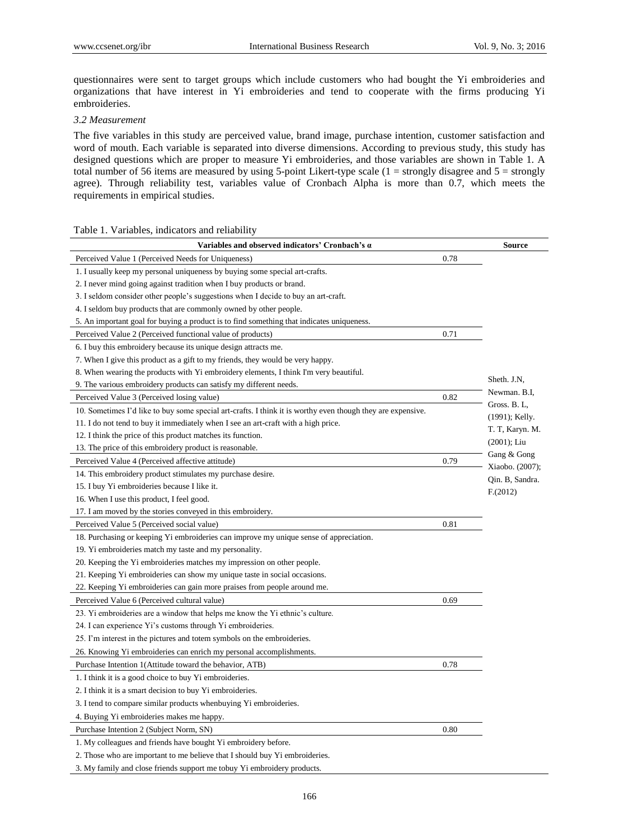questionnaires were sent to target groups which include customers who had bought the Yi embroideries and organizations that have interest in Yi embroideries and tend to cooperate with the firms producing Yi embroideries.

## *3.2 Measurement*

The five variables in this study are perceived value, brand image, purchase intention, customer satisfaction and word of mouth. Each variable is separated into diverse dimensions. According to previous study, this study has designed questions which are proper to measure Yi embroideries, and those variables are shown in Table 1. A total number of 56 items are measured by using 5-point Likert-type scale  $(1 =$  strongly disagree and  $5 =$  strongly agree). Through reliability test, variables value of Cronbach Alpha is more than 0.7, which meets the requirements in empirical studies.

## Table 1. Variables, indicators and reliability

| Variables and observed indicators' Cronbach's a                                                             |      |                 |  |  |
|-------------------------------------------------------------------------------------------------------------|------|-----------------|--|--|
| Perceived Value 1 (Perceived Needs for Uniqueness)                                                          | 0.78 |                 |  |  |
| 1. I usually keep my personal uniqueness by buying some special art-crafts.                                 |      |                 |  |  |
| 2. I never mind going against tradition when I buy products or brand.                                       |      |                 |  |  |
| 3. I seldom consider other people's suggestions when I decide to buy an art-craft.                          |      |                 |  |  |
| 4. I seldom buy products that are commonly owned by other people.                                           |      |                 |  |  |
| 5. An important goal for buying a product is to find something that indicates uniqueness.                   |      |                 |  |  |
| Perceived Value 2 (Perceived functional value of products)                                                  | 0.71 |                 |  |  |
| 6. I buy this embroidery because its unique design attracts me.                                             |      |                 |  |  |
| 7. When I give this product as a gift to my friends, they would be very happy.                              |      |                 |  |  |
| 8. When wearing the products with Yi embroidery elements, I think I'm very beautiful.                       |      | Sheth. J.N,     |  |  |
| 9. The various embroidery products can satisfy my different needs.                                          |      | Newman. B.I.    |  |  |
| Perceived Value 3 (Perceived losing value)                                                                  | 0.82 | Gross. B. L.    |  |  |
| 10. Sometimes I'd like to buy some special art-crafts. I think it is worthy even though they are expensive. |      | (1991); Kelly.  |  |  |
| 11. I do not tend to buy it immediately when I see an art-craft with a high price.                          |      | T. T, Karyn. M. |  |  |
| 12. I think the price of this product matches its function.                                                 |      | $(2001)$ ; Liu  |  |  |
| 13. The price of this embroidery product is reasonable.                                                     |      | Gang & Gong     |  |  |
| Perceived Value 4 (Perceived affective attitude)                                                            | 0.79 | Xiaobo. (2007); |  |  |
| 14. This embroidery product stimulates my purchase desire.                                                  |      | Qin. B, Sandra. |  |  |
| 15. I buy Yi embroideries because I like it.                                                                |      | F(2012)         |  |  |
| 16. When I use this product, I feel good.                                                                   |      |                 |  |  |
| 17. I am moved by the stories conveyed in this embroidery.                                                  |      |                 |  |  |
| Perceived Value 5 (Perceived social value)                                                                  | 0.81 |                 |  |  |
| 18. Purchasing or keeping Yi embroideries can improve my unique sense of appreciation.                      |      |                 |  |  |
| 19. Yi embroideries match my taste and my personality.                                                      |      |                 |  |  |
| 20. Keeping the Yi embroideries matches my impression on other people.                                      |      |                 |  |  |
| 21. Keeping Yi embroideries can show my unique taste in social occasions.                                   |      |                 |  |  |
| 22. Keeping Yi embroideries can gain more praises from people around me.                                    |      |                 |  |  |
| Perceived Value 6 (Perceived cultural value)                                                                | 0.69 |                 |  |  |
| 23. Yi embroideries are a window that helps me know the Yi ethnic's culture.                                |      |                 |  |  |
| 24. I can experience Yi's customs through Yi embroideries.                                                  |      |                 |  |  |
| 25. I'm interest in the pictures and totem symbols on the embroideries.                                     |      |                 |  |  |
| 26. Knowing Yi embroideries can enrich my personal accomplishments.                                         |      |                 |  |  |
| Purchase Intention 1 (Attitude toward the behavior, ATB)                                                    | 0.78 |                 |  |  |
| 1. I think it is a good choice to buy Yi embroideries.                                                      |      |                 |  |  |
| 2. I think it is a smart decision to buy Yi embroideries.                                                   |      |                 |  |  |
| 3. I tend to compare similar products whenbuying Yi embroideries.                                           |      |                 |  |  |
| 4. Buying Yi embroideries makes me happy.                                                                   |      |                 |  |  |
| Purchase Intention 2 (Subject Norm, SN)                                                                     | 0.80 |                 |  |  |
| 1. My colleagues and friends have bought Yi embroidery before.                                              |      |                 |  |  |
| 2. Those who are important to me believe that I should buy Yi embroideries.                                 |      |                 |  |  |
| 3. My family and close friends support me tobuy Yi embroidery products.                                     |      |                 |  |  |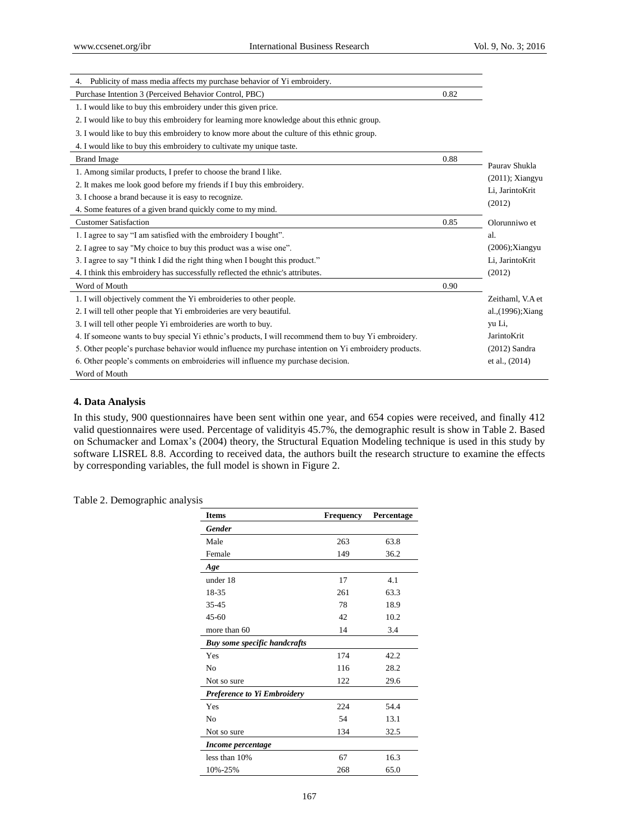| 4. Publicity of mass media affects my purchase behavior of Yi embroidery.                            |      |                    |
|------------------------------------------------------------------------------------------------------|------|--------------------|
| Purchase Intention 3 (Perceived Behavior Control, PBC)                                               | 0.82 |                    |
| 1. I would like to buy this embroidery under this given price.                                       |      |                    |
| 2. I would like to buy this embroidery for learning more knowledge about this ethnic group.          |      |                    |
| 3. I would like to buy this embroidery to know more about the culture of this ethnic group.          |      |                    |
| 4. I would like to buy this embroidery to cultivate my unique taste.                                 |      |                    |
| <b>Brand Image</b>                                                                                   | 0.88 | Pauray Shukla      |
| 1. Among similar products, I prefer to choose the brand I like.                                      |      | $(2011)$ ; Xiangyu |
| 2. It makes me look good before my friends if I buy this embroidery.                                 |      | Li, JarintoKrit    |
| 3. I choose a brand because it is easy to recognize.                                                 |      | (2012)             |
| 4. Some features of a given brand quickly come to my mind.                                           |      |                    |
| <b>Customer Satisfaction</b>                                                                         | 0.85 | Olorunniwo et      |
| 1. I agree to say "I am satisfied with the embroidery I bought".                                     |      | al.                |
| 2. I agree to say "My choice to buy this product was a wise one".                                    |      | $(2006)$ ; Xiangyu |
| 3. I agree to say "I think I did the right thing when I bought this product."                        |      | Li, JarintoKrit    |
| 4. I think this embroidery has successfully reflected the ethnic's attributes.                       |      | (2012)             |
| Word of Mouth                                                                                        | 0.90 |                    |
| 1. I will objectively comment the Yi embroideries to other people.                                   |      | Zeithaml, V.A et   |
| 2. I will tell other people that Yi embroideries are very beautiful.                                 |      | al., (1996); Xiang |
| 3. I will tell other people Yi embroideries are worth to buy.                                        |      | yu Li,             |
| 4. If someone wants to buy special Yi ethnic's products, I will recommend them to buy Yi embroidery. |      | JarintoKrit        |
| 5. Other people's purchase behavior would influence my purchase intention on Yi embroidery products. |      | $(2012)$ Sandra    |
| 6. Other people's comments on embroideries will influence my purchase decision.                      |      | et al., $(2014)$   |
| Word of Mouth                                                                                        |      |                    |

## **4. Data Analysis**

In this study, 900 questionnaires have been sent within one year, and 654 copies were received, and finally 412 valid questionnaires were used. Percentage of validityis 45.7%, the demographic result is show in Table 2. Based on Schumacker and Lomax's (2004) theory, the Structural Equation Modeling technique is used in this study by software LISREL 8.8. According to received data, the authors built the research structure to examine the effects by corresponding variables, the full model is shown in Figure 2.

## Table 2. Demographic analysis

| <b>Items</b>                        | Frequency | <b>Percentage</b> |
|-------------------------------------|-----------|-------------------|
| <b>Gender</b>                       |           |                   |
| Male                                | 263       | 63.8              |
| Female                              | 149       | 36.2              |
| Age                                 |           |                   |
| under 18                            | 17        | 4.1               |
| 18-35                               | 261       | 63.3              |
| 35-45                               | 78        | 18.9              |
| $45 - 60$                           | 42        | 10.2              |
| more than 60                        | 14        | 3.4               |
| <b>Buy some specific handcrafts</b> |           |                   |
| Yes                                 | 174       | 42.2              |
| No                                  | 116       | 28.2              |
| Not so sure                         | 122       | 29.6              |
| <b>Preference to Yi Embroidery</b>  |           |                   |
| Yes                                 | 224       | 54.4              |
| No                                  | 54        | 13.1              |
| Not so sure                         | 134       | 32.5              |
| <i>Income percentage</i>            |           |                   |
| less than 10%                       | 67        | 16.3              |
| 10%-25%                             | 268       | 65.0              |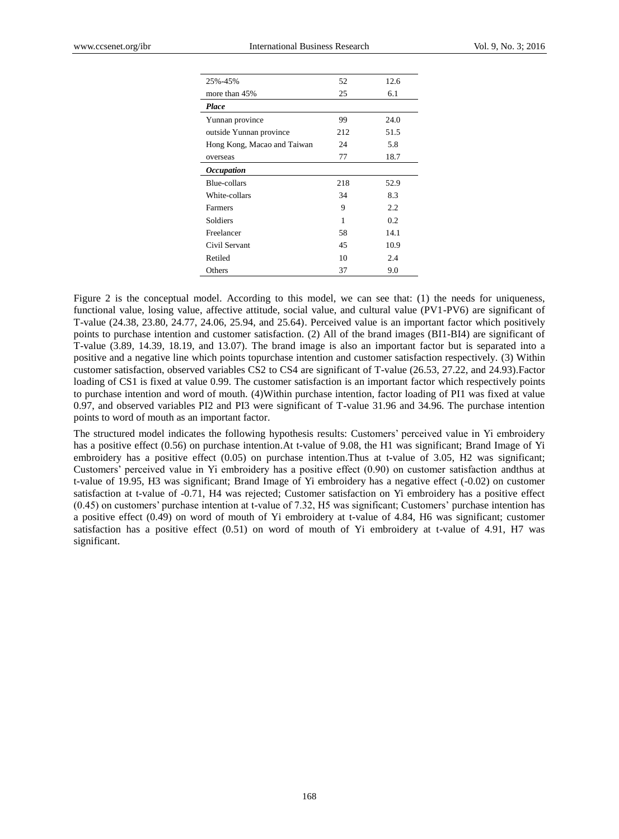| 25%-45%                     | 52  | 12.6 |
|-----------------------------|-----|------|
| more than 45%               | 25  | 6.1  |
| Place                       |     |      |
| Yunnan province             | 99  | 24.0 |
| outside Yunnan province     | 212 | 51.5 |
| Hong Kong, Macao and Taiwan | 24  | 5.8  |
| overseas                    | 77  | 18.7 |
| <i><b>Occupation</b></i>    |     |      |
| Blue-collars                | 218 | 52.9 |
| White-collars               | 34  | 8.3  |
| <b>Farmers</b>              | 9   | 2.2  |
| Soldiers                    | 1   | 0.2  |
| Freelancer                  | 58  | 14.1 |
| Civil Servant               | 45  | 10.9 |
| Retiled                     | 10  | 2.4  |
| Others                      | 37  | 9.0  |

Figure 2 is the conceptual model. According to this model, we can see that: (1) the needs for uniqueness, functional value, losing value, affective attitude, social value, and cultural value (PV1-PV6) are significant of T-value (24.38, 23.80, 24.77, 24.06, 25.94, and 25.64). Perceived value is an important factor which positively points to purchase intention and customer satisfaction. (2) All of the brand images (BI1-BI4) are significant of T-value (3.89, 14.39, 18.19, and 13.07). The brand image is also an important factor but is separated into a positive and a negative line which points topurchase intention and customer satisfaction respectively. (3) Within customer satisfaction, observed variables CS2 to CS4 are significant of T-value (26.53, 27.22, and 24.93).Factor loading of CS1 is fixed at value 0.99. The customer satisfaction is an important factor which respectively points to purchase intention and word of mouth. (4)Within purchase intention, factor loading of PI1 was fixed at value 0.97, and observed variables PI2 and PI3 were significant of T-value 31.96 and 34.96. The purchase intention points to word of mouth as an important factor.

The structured model indicates the following hypothesis results: Customers' perceived value in Yi embroidery has a positive effect (0.56) on purchase intention. At t-value of 9.08, the H1 was significant; Brand Image of Yi embroidery has a positive effect (0.05) on purchase intention. Thus at t-value of 3.05, H2 was significant; Customers' perceived value in Yi embroidery has a positive effect (0.90) on customer satisfaction andthus at t-value of 19.95, H3 was significant; Brand Image of Yi embroidery has a negative effect (-0.02) on customer satisfaction at t-value of -0.71, H4 was rejected; Customer satisfaction on Yi embroidery has a positive effect (0.45) on customers' purchase intention at t-value of 7.32, H5 was significant; Customers' purchase intention has a positive effect (0.49) on word of mouth of Yi embroidery at t-value of 4.84, H6 was significant; customer satisfaction has a positive effect (0.51) on word of mouth of Yi embroidery at t-value of 4.91, H7 was significant.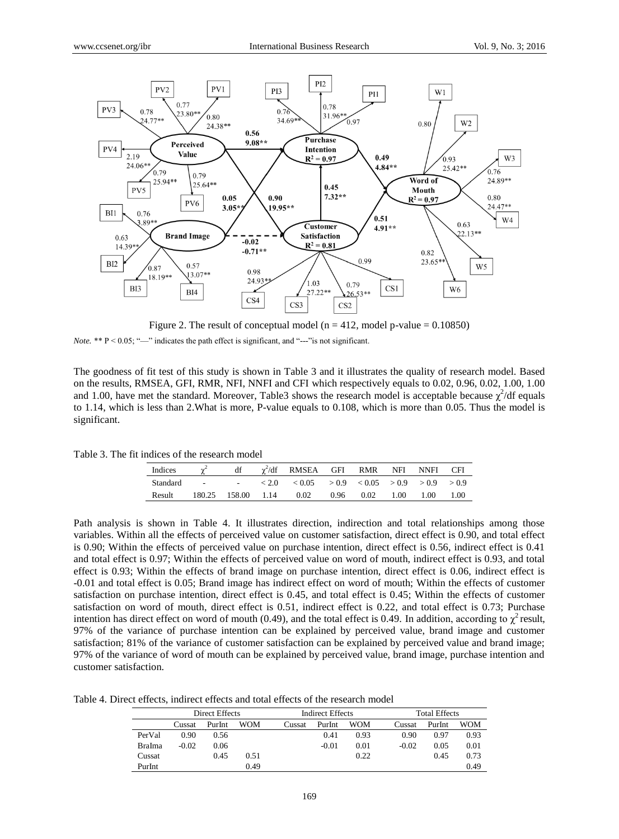

Figure 2. The result of conceptual model ( $n = 412$ , model p-value = 0.10850)

*Note.* \*\*  $P < 0.05$ ; "—" indicates the path effect is significant, and "---"is not significant.

The goodness of fit test of this study is shown in Table 3 and it illustrates the quality of research model. Based on the results, RMSEA, GFI, RMR, NFI, NNFI and CFI which respectively equals to 0.02, 0.96, 0.02, 1.00, 1.00 and 1.00, have met the standard. Moreover, Table3 shows the research model is acceptable because  $\chi^2$ /df equals to 1.14, which is less than 2.What is more, P-value equals to 0.108, which is more than 0.05. Thus the model is significant.

Table 3. The fit indices of the research model

| Indices  |        |                               | $\chi^2$ df $\chi^2$ /df RMSEA GFI RMR NFI NNFI CFI                                                               |      |      |      |        |      |
|----------|--------|-------------------------------|-------------------------------------------------------------------------------------------------------------------|------|------|------|--------|------|
| Standard |        | the state of the state of the | $\langle 2.0 \rangle$ $\langle 0.05 \rangle$ $> 0.9 \langle 0.05 \rangle$ $> 0.9 \rangle$ $> 0.9 \rangle$ $> 0.9$ |      |      |      |        |      |
| Result   | 180.25 | 158.00                        | 1.14 0.02                                                                                                         | 0.96 | 0.02 | 1.00 | - 1.00 | 1.00 |

Path analysis is shown in Table 4. It illustrates direction, indirection and total relationships among those variables. Within all the effects of perceived value on customer satisfaction, direct effect is 0.90, and total effect is 0.90; Within the effects of perceived value on purchase intention, direct effect is 0.56, indirect effect is 0.41 and total effect is 0.97; Within the effects of perceived value on word of mouth, indirect effect is 0.93, and total effect is 0.93; Within the effects of brand image on purchase intention, direct effect is 0.06, indirect effect is -0.01 and total effect is 0.05; Brand image has indirect effect on word of mouth; Within the effects of customer satisfaction on purchase intention, direct effect is 0.45, and total effect is 0.45; Within the effects of customer satisfaction on word of mouth, direct effect is 0.51, indirect effect is 0.22, and total effect is 0.73; Purchase intention has direct effect on word of mouth (0.49), and the total effect is 0.49. In addition, according to  $\chi^2$  result, 97% of the variance of purchase intention can be explained by perceived value, brand image and customer satisfaction; 81% of the variance of customer satisfaction can be explained by perceived value and brand image; 97% of the variance of word of mouth can be explained by perceived value, brand image, purchase intention and customer satisfaction.

Table 4. Direct effects, indirect effects and total effects of the research model

|               | Direct Effects |        |      |        | <b>Indirect Effects</b> |            |         | <b>Total Effects</b> |            |  |
|---------------|----------------|--------|------|--------|-------------------------|------------|---------|----------------------|------------|--|
|               | Cussat         | PurInt | WOM  | Cussat | PurInt                  | <b>WOM</b> | Cussat  | PurInt               | <b>WOM</b> |  |
| PerVal        | 0.90           | 0.56   |      |        | 0.41                    | 0.93       | 0.90    | 0.97                 | 0.93       |  |
| <b>BraIma</b> | $-0.02$        | 0.06   |      |        | $-0.01$                 | 0.01       | $-0.02$ | 0.05                 | 0.01       |  |
| Cussat        |                | 0.45   | 0.51 |        |                         | 0.22       |         | 0.45                 | 0.73       |  |
| PurInt        |                |        | 0.49 |        |                         |            |         |                      | 0.49       |  |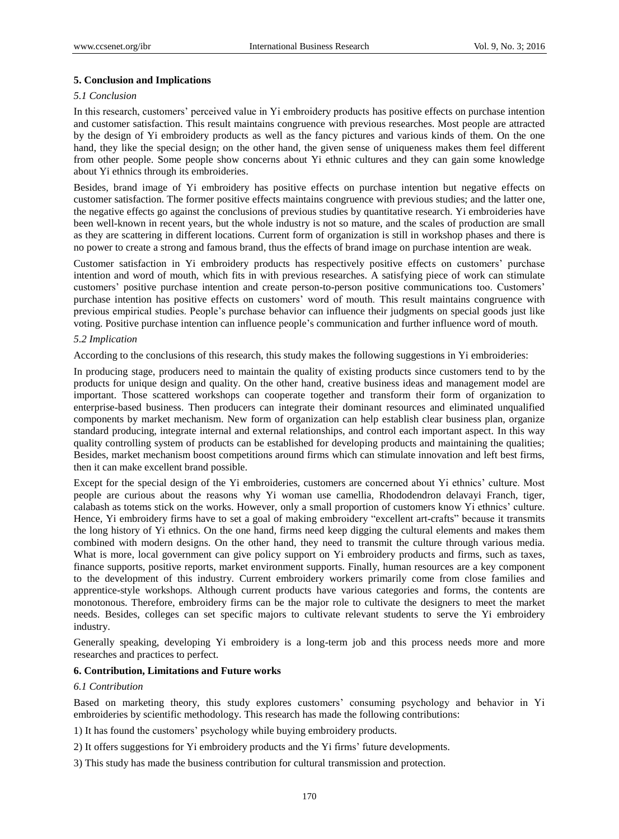## **5. Conclusion and Implications**

## *5.1 Conclusion*

In this research, customers' perceived value in Yi embroidery products has positive effects on purchase intention and customer satisfaction. This result maintains congruence with previous researches. Most people are attracted by the design of Yi embroidery products as well as the fancy pictures and various kinds of them. On the one hand, they like the special design; on the other hand, the given sense of uniqueness makes them feel different from other people. Some people show concerns about Yi ethnic cultures and they can gain some knowledge about Yi ethnics through its embroideries.

Besides, brand image of Yi embroidery has positive effects on purchase intention but negative effects on customer satisfaction. The former positive effects maintains congruence with previous studies; and the latter one, the negative effects go against the conclusions of previous studies by quantitative research. Yi embroideries have been well-known in recent years, but the whole industry is not so mature, and the scales of production are small as they are scattering in different locations. Current form of organization is still in workshop phases and there is no power to create a strong and famous brand, thus the effects of brand image on purchase intention are weak.

Customer satisfaction in Yi embroidery products has respectively positive effects on customers' purchase intention and word of mouth, which fits in with previous researches. A satisfying piece of work can stimulate customers' positive purchase intention and create person-to-person positive communications too. Customers' purchase intention has positive effects on customers' word of mouth. This result maintains congruence with previous empirical studies. People's purchase behavior can influence their judgments on special goods just like voting. Positive purchase intention can influence people's communication and further influence word of mouth.

## *5.2 Implication*

According to the conclusions of this research, this study makes the following suggestions in Yi embroideries:

In producing stage, producers need to maintain the quality of existing products since customers tend to by the products for unique design and quality. On the other hand, creative business ideas and management model are important. Those scattered workshops can cooperate together and transform their form of organization to enterprise-based business. Then producers can integrate their dominant resources and eliminated unqualified components by market mechanism. New form of organization can help establish clear business plan, organize standard producing, integrate internal and external relationships, and control each important aspect. In this way quality controlling system of products can be established for developing products and maintaining the qualities; Besides, market mechanism boost competitions around firms which can stimulate innovation and left best firms, then it can make excellent brand possible.

Except for the special design of the Yi embroideries, customers are concerned about Yi ethnics' culture. Most people are curious about the reasons why Yi woman use camellia, Rhododendron delavayi Franch, tiger, calabash as totems stick on the works. However, only a small proportion of customers know Yi ethnics' culture. Hence, Yi embroidery firms have to set a goal of making embroidery "excellent art-crafts" because it transmits the long history of Yi ethnics. On the one hand, firms need keep digging the cultural elements and makes them combined with modern designs. On the other hand, they need to transmit the culture through various media. What is more, local government can give policy support on Yi embroidery products and firms, such as taxes, finance supports, positive reports, market environment supports. Finally, human resources are a key component to the development of this industry. Current embroidery workers primarily come from close families and apprentice-style workshops. Although current products have various categories and forms, the contents are monotonous. Therefore, embroidery firms can be the major role to cultivate the designers to meet the market needs. Besides, colleges can set specific majors to cultivate relevant students to serve the Yi embroidery industry.

Generally speaking, developing Yi embroidery is a long-term job and this process needs more and more researches and practices to perfect.

## **6. Contribution, Limitations and Future works**

## *6.1 Contribution*

Based on marketing theory, this study explores customers' consuming psychology and behavior in Yi embroideries by scientific methodology. This research has made the following contributions:

1) It has found the customers' psychology while buying embroidery products.

2) It offers suggestions for Yi embroidery products and the Yi firms' future developments.

3) This study has made the business contribution for cultural transmission and protection.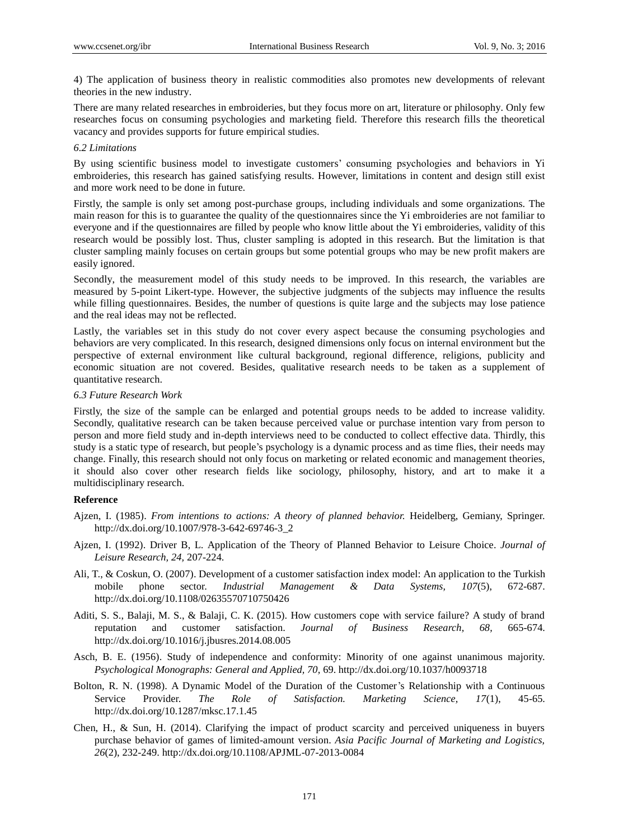4) The application of business theory in realistic commodities also promotes new developments of relevant theories in the new industry.

There are many related researches in embroideries, but they focus more on art, literature or philosophy. Only few researches focus on consuming psychologies and marketing field. Therefore this research fills the theoretical vacancy and provides supports for future empirical studies.

#### *6.2 Limitations*

By using scientific business model to investigate customers' consuming psychologies and behaviors in Yi embroideries, this research has gained satisfying results. However, limitations in content and design still exist and more work need to be done in future.

Firstly, the sample is only set among post-purchase groups, including individuals and some organizations. The main reason for this is to guarantee the quality of the questionnaires since the Yi embroideries are not familiar to everyone and if the questionnaires are filled by people who know little about the Yi embroideries, validity of this research would be possibly lost. Thus, cluster sampling is adopted in this research. But the limitation is that cluster sampling mainly focuses on certain groups but some potential groups who may be new profit makers are easily ignored.

Secondly, the measurement model of this study needs to be improved. In this research, the variables are measured by 5-point Likert-type. However, the subjective judgments of the subjects may influence the results while filling questionnaires. Besides, the number of questions is quite large and the subjects may lose patience and the real ideas may not be reflected.

Lastly, the variables set in this study do not cover every aspect because the consuming psychologies and behaviors are very complicated. In this research, designed dimensions only focus on internal environment but the perspective of external environment like cultural background, regional difference, religions, publicity and economic situation are not covered. Besides, qualitative research needs to be taken as a supplement of quantitative research.

#### *6.3 Future Research Work*

Firstly, the size of the sample can be enlarged and potential groups needs to be added to increase validity. Secondly, qualitative research can be taken because perceived value or purchase intention vary from person to person and more field study and in-depth interviews need to be conducted to collect effective data. Thirdly, this study is a static type of research, but people's psychology is a dynamic process and as time flies, their needs may change. Finally, this research should not only focus on marketing or related economic and management theories, it should also cover other research fields like sociology, philosophy, history, and art to make it a multidisciplinary research.

## **Reference**

- Ajzen, I. (1985). *From intentions to actions: A theory of planned behavior.* Heidelberg, Gemiany, Springer. http://dx.doi.org/10.1007/978-3-642-69746-3\_2
- Ajzen, I. (1992). Driver B, L. Application of the Theory of Planned Behavior to Leisure Choice. *Journal of Leisure Research, 24,* 207-224.
- Ali, T., & Coskun, O. (2007). Development of a customer satisfaction index model: An application to the Turkish mobile phone sector. *Industrial Management & Data Systems, 107*(5), 672-687. http://dx.doi.org/10.1108/02635570710750426
- Aditi, S. S., Balaji, M. S., & Balaji, C. K. (2015). How customers cope with service failure? A study of brand reputation and customer satisfaction. *Journal of Business Research, 68,* 665-674. http://dx.doi.org/10.1016/j.jbusres.2014.08.005
- Asch, B. E. (1956). Study of independence and conformity: Minority of one against unanimous majority. *Psychological Monographs: General and Applied, 70,* 69. http://dx.doi.org/10.1037/h0093718
- Bolton, R. N. (1998). A Dynamic Model of the Duration of the Customer's Relationship with a Continuous Service Provider. *The Role of Satisfaction. Marketing Science, 17*(1), 45-65. http://dx.doi.org/10.1287/mksc.17.1.45
- Chen, H., & Sun, H. (2014). Clarifying the impact of product scarcity and perceived uniqueness in buyers purchase behavior of games of limited-amount version. *Asia Pacific Journal of Marketing and Logistics, 26*(2), 232-249. http://dx.doi.org/10.1108/APJML-07-2013-0084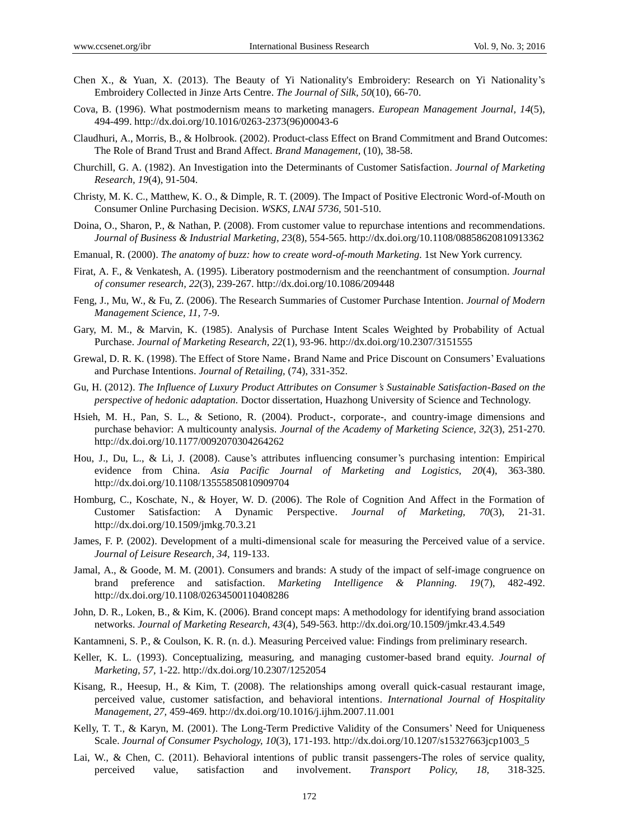- Chen X., & Yuan, X. (2013). The Beauty of Yi Nationality's Embroidery: Research on Yi Nationality's Embroidery Collected in Jinze Arts Centre. *The Journal of Silk, 50*(10), 66-70.
- Cova, B. (1996). What postmodernism means to marketing managers. *European Management Journal, 14*(5), 494-499. http://dx.doi.org/10.1016/0263-2373(96)00043-6
- Claudhuri, A., Morris, B., & Holbrook. (2002). Product-class Effect on Brand Commitment and Brand Outcomes: The Role of Brand Trust and Brand Affect. *Brand Management,* (10), 38-58.
- Churchill, G. A. (1982). An Investigation into the Determinants of Customer Satisfaction. *Journal of Marketing Research, 19*(4), 91-504.
- Christy, M. K. C., Matthew, K. O., & Dimple, R. T. (2009). The Impact of Positive Electronic Word-of-Mouth on Consumer Online Purchasing Decision. *WSKS, LNAI 5736,* 501-510.
- Doina, O., Sharon, P., & Nathan, P. (2008). From customer value to repurchase intentions and recommendations. *Journal of Business & Industrial Marketing, 2*3(8), 554-565. http://dx.doi.org/10.1108/08858620810913362
- Emanual, R. (2000). *The anatomy of buzz: how to create word-of-mouth Marketing.* 1st New York currency.
- Firat, A. F., & Venkatesh, A. (1995). Liberatory postmodernism and the reenchantment of consumption. *Journal of consumer research, 22*(3), 239-267. http://dx.doi.org/10.1086/209448
- Feng, J., Mu, W., & Fu, Z. (2006). The Research Summaries of Customer Purchase Intention. *Journal of Modern Management Science, 11,* 7-9.
- Gary, M. M., & Marvin, K. (1985). Analysis of Purchase Intent Scales Weighted by Probability of Actual Purchase. *Journal of Marketing Research, 22*(1), 93-96. http://dx.doi.org/10.2307/3151555
- Grewal, D. R. K. (1998). The Effect of Store Name, Brand Name and Price Discount on Consumers' Evaluations and Purchase Intentions. *Journal of Retailing,* (74), 331-352.
- Gu, H. (2012). *The Influence of Luxury Product Attributes on Consumer's Sustainable Satisfaction-Based on the perspective of hedonic adaptation.* Doctor dissertation, Huazhong University of Science and Technology.
- Hsieh, M. H., Pan, S. L., & Setiono, R. (2004). Product-, corporate-, and country-image dimensions and purchase behavior: A multicounty analysis. *Journal of the Academy of Marketing Science, 32*(3), 251-270. http://dx.doi.org/10.1177/0092070304264262
- Hou, J., Du, L., & Li, J. (2008). Cause's attributes influencing consumer's purchasing intention: Empirical evidence from China. *Asia Pacific Journal of Marketing and Logistics, 20*(4), 363-380. http://dx.doi.org/10.1108/13555850810909704
- Homburg, C., Koschate, N., & Hoyer, W. D. (2006). The Role of Cognition And Affect in the Formation of Customer Satisfaction: A Dynamic Perspective. *Journal of Marketing, 70*(3), 21-31. http://dx.doi.org/10.1509/jmkg.70.3.21
- James, F. P. (2002). Development of a multi-dimensional scale for measuring the Perceived value of a service. *Journal of Leisure Research, 34,* 119-133.
- Jamal, A., & Goode, M. M. (2001). Consumers and brands: A study of the impact of self-image congruence on brand preference and satisfaction. *Marketing Intelligence & Planning. 19*(7), 482-492. http://dx.doi.org/10.1108/02634500110408286
- John, D. R., Loken, B., & Kim, K. (2006). Brand concept maps: A methodology for identifying brand association networks. *Journal of Marketing Research, 43*(4), 549-563. http://dx.doi.org/10.1509/jmkr.43.4.549
- Kantamneni, S. P., & Coulson, K. R. (n. d.). Measuring Perceived value: Findings from preliminary research.
- Keller, K. L. (1993). Conceptualizing, measuring, and managing customer-based brand equity. *Journal of Marketing, 57,* 1-22. http://dx.doi.org/10.2307/1252054
- Kisang, R., Heesup, H., & Kim, T. (2008). The relationships among overall quick-casual restaurant image, perceived value, customer satisfaction, and behavioral intentions. *International Journal of Hospitality Management, 27,* 459-469. http://dx.doi.org/10.1016/j.ijhm.2007.11.001
- Kelly, T. T., & Karyn, M. (2001). The Long-Term Predictive Validity of the Consumers' Need for Uniqueness Scale. *Journal of Consumer Psychology, 10*(3), 171-193. http://dx.doi.org/10.1207/s15327663jcp1003\_5
- Lai, W., & Chen, C. (2011). Behavioral intentions of public transit passengers-The roles of service quality, perceived value, satisfaction and involvement. *Transport Policy, 18,* 318-325.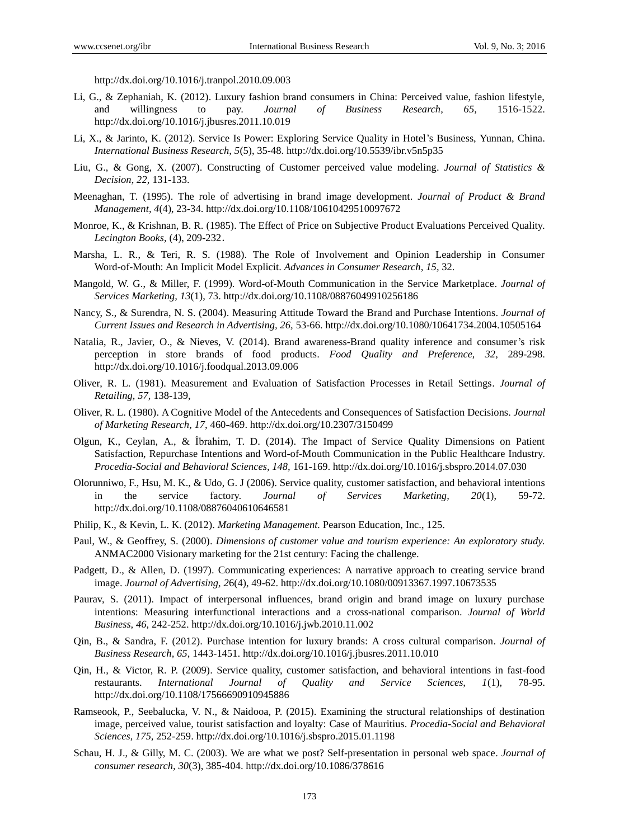http://dx.doi.org/10.1016/j.tranpol.2010.09.003

- Li, G., & Zephaniah, K. (2012). Luxury fashion brand consumers in China: Perceived value, fashion lifestyle, and willingness to pay. *Journal of Business Research, 65,* 1516-1522. http://dx.doi.org/10.1016/j.jbusres.2011.10.019
- Li, X., & Jarinto, K. (2012). Service Is Power: Exploring Service Quality in Hotel's Business, Yunnan, China. *International Business Research, 5*(5), 35-48. http://dx.doi.org/10.5539/ibr.v5n5p35
- Liu, G., & Gong, X. (2007). Constructing of Customer perceived value modeling. *Journal of Statistics & Decision, 22,* 131-133.
- Meenaghan, T. (1995). The role of advertising in brand image development. *Journal of Product & Brand Management, 4*(4), 23-34. http://dx.doi.org/10.1108/10610429510097672
- Monroe, K., & Krishnan, B. R. (1985). The Effect of Price on Subjective Product Evaluations Perceived Quality. *Lecington Books,* (4), 209-232.
- Marsha, L. R., & Teri, R. S. (1988). The Role of Involvement and Opinion Leadership in Consumer Word-of-Mouth: An Implicit Model Explicit. *Advances in Consumer Research, 15,* 32.
- Mangold, W. G., & Miller, F. (1999). Word-of-Mouth Communication in the Service Marketplace. *Journal of Services Marketing, 13*(1), 73. http://dx.doi.org/10.1108/08876049910256186
- Nancy, S., & Surendra, N. S. (2004). Measuring Attitude Toward the Brand and Purchase Intentions. *Journal of Current Issues and Research in Advertising, 26,* 53-66. http://dx.doi.org/10.1080/10641734.2004.10505164
- Natalia, R., Javier, O., & Nieves, V. (2014). Brand awareness-Brand quality inference and consumer's risk perception in store brands of food products. *Food Quality and Preference, 32,* 289-298. http://dx.doi.org/10.1016/j.foodqual.2013.09.006
- Oliver, R. L. (1981). Measurement and Evaluation of Satisfaction Processes in Retail Settings. *Journal of Retailing, 57,* 138-139,
- Oliver, R. L. (1980). A Cognitive Model of the Antecedents and Consequences of Satisfaction Decisions. *Journal of Marketing Research, 17,* 460-469. http://dx.doi.org/10.2307/3150499
- Olgun, K., Ceylan, A., & İbrahim, T. D. (2014). The Impact of Service Quality Dimensions on Patient Satisfaction, Repurchase Intentions and Word-of-Mouth Communication in the Public Healthcare Industry. *Procedia-Social and Behavioral Sciences, 148,* 161-169. http://dx.doi.org/10.1016/j.sbspro.2014.07.030
- Olorunniwo, F., Hsu, M. K., & Udo, G. J (2006). Service quality, customer satisfaction, and behavioral intentions in the service factory. *Journal of Services Marketing, 20*(1), 59-72. http://dx.doi.org/10.1108/08876040610646581
- Philip, K., & Kevin, L. K. (2012). *Marketing Management.* Pearson Education, Inc., 125.
- Paul, W., & Geoffrey, S. (2000). *Dimensions of customer value and tourism experience: An exploratory study.* ANMAC2000 Visionary marketing for the 21st century: Facing the challenge.
- Padgett, D., & Allen, D. (1997). Communicating experiences: A narrative approach to creating service brand image. *Journal of Advertising, 2*6(4), 49-62. http://dx.doi.org/10.1080/00913367.1997.10673535
- Paurav, S. (2011). Impact of interpersonal influences, brand origin and brand image on luxury purchase intentions: Measuring interfunctional interactions and a cross-national comparison. *Journal of World Business, 46,* 242-252. http://dx.doi.org/10.1016/j.jwb.2010.11.002
- Qin, B., & Sandra, F. (2012). Purchase intention for luxury brands: A cross cultural comparison. *Journal of Business Research, 65,* 1443-1451. http://dx.doi.org/10.1016/j.jbusres.2011.10.010
- Qin, H., & Victor, R. P. (2009). Service quality, customer satisfaction, and behavioral intentions in fast-food restaurants. *International Journal of Quality and Service Sciences, 1*(1), 78-95. http://dx.doi.org/10.1108/17566690910945886
- Ramseook, P., Seebalucka, V. N., & Naidooa, P. (2015). Examining the structural relationships of destination image, perceived value, tourist satisfaction and loyalty: Case of Mauritius. *Procedia-Social and Behavioral Sciences, 175,* 252-259. http://dx.doi.org/10.1016/j.sbspro.2015.01.1198
- Schau, H. J., & Gilly, M. C. (2003). We are what we post? Self-presentation in personal web space. *Journal of consumer research, 30*(3), 385-404. http://dx.doi.org/10.1086/378616